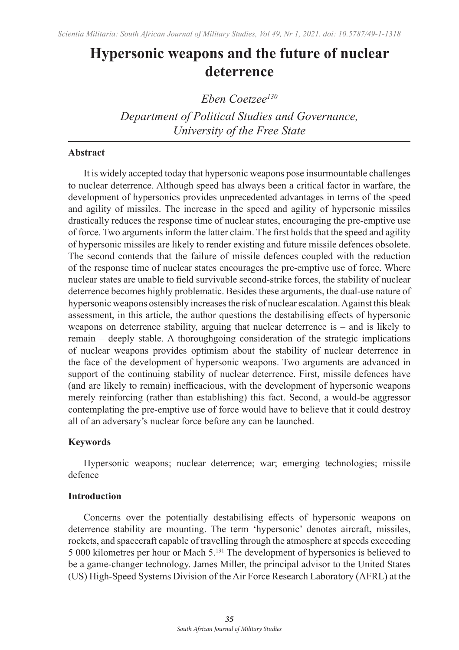# **Hypersonic weapons and the future of nuclear deterrence**

*Eben Coetzee130*

*Department of Political Studies and Governance, University of the Free State*

## **Abstract**

It is widely accepted today that hypersonic weapons pose insurmountable challenges to nuclear deterrence. Although speed has always been a critical factor in warfare, the development of hypersonics provides unprecedented advantages in terms of the speed and agility of missiles. The increase in the speed and agility of hypersonic missiles drastically reduces the response time of nuclear states, encouraging the pre-emptive use of force. Two arguments inform the latter claim. The first holds that the speed and agility of hypersonic missiles are likely to render existing and future missile defences obsolete. The second contends that the failure of missile defences coupled with the reduction of the response time of nuclear states encourages the pre-emptive use of force. Where nuclear states are unable to field survivable second-strike forces, the stability of nuclear deterrence becomes highly problematic. Besides these arguments, the dual-use nature of hypersonic weapons ostensibly increases the risk of nuclear escalation. Against this bleak assessment, in this article, the author questions the destabilising effects of hypersonic weapons on deterrence stability, arguing that nuclear deterrence is – and is likely to remain – deeply stable. A thoroughgoing consideration of the strategic implications of nuclear weapons provides optimism about the stability of nuclear deterrence in the face of the development of hypersonic weapons. Two arguments are advanced in support of the continuing stability of nuclear deterrence. First, missile defences have (and are likely to remain) inefficacious, with the development of hypersonic weapons merely reinforcing (rather than establishing) this fact. Second, a would-be aggressor contemplating the pre-emptive use of force would have to believe that it could destroy all of an adversary's nuclear force before any can be launched.

## **Keywords**

Hypersonic weapons; nuclear deterrence; war; emerging technologies; missile defence

## **Introduction**

Concerns over the potentially destabilising effects of hypersonic weapons on deterrence stability are mounting. The term 'hypersonic' denotes aircraft, missiles, rockets, and spacecraft capable of travelling through the atmosphere at speeds exceeding 5 000 kilometres per hour or Mach 5.131 The development of hypersonics is believed to be a game-changer technology. James Miller, the principal advisor to the United States (US) High-Speed Systems Division of the Air Force Research Laboratory (AFRL) at the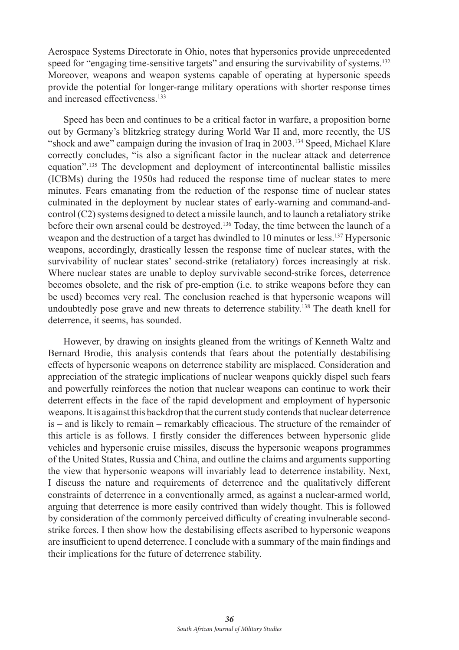Aerospace Systems Directorate in Ohio, notes that hypersonics provide unprecedented speed for "engaging time-sensitive targets" and ensuring the survivability of systems.<sup>132</sup> Moreover, weapons and weapon systems capable of operating at hypersonic speeds provide the potential for longer-range military operations with shorter response times and increased effectiveness.<sup>133</sup>

Speed has been and continues to be a critical factor in warfare, a proposition borne out by Germany's blitzkrieg strategy during World War II and, more recently, the US "shock and awe" campaign during the invasion of Iraq in 2003.134 Speed, Michael Klare correctly concludes, "is also a significant factor in the nuclear attack and deterrence equation".<sup>135</sup> The development and deployment of intercontinental ballistic missiles (ICBMs) during the 1950s had reduced the response time of nuclear states to mere minutes. Fears emanating from the reduction of the response time of nuclear states culminated in the deployment by nuclear states of early-warning and command-andcontrol (C2) systems designed to detect a missile launch, and to launch a retaliatory strike before their own arsenal could be destroyed.136 Today, the time between the launch of a weapon and the destruction of a target has dwindled to 10 minutes or less.137 Hypersonic weapons, accordingly, drastically lessen the response time of nuclear states, with the survivability of nuclear states' second-strike (retaliatory) forces increasingly at risk. Where nuclear states are unable to deploy survivable second-strike forces, deterrence becomes obsolete, and the risk of pre-emption (i.e. to strike weapons before they can be used) becomes very real. The conclusion reached is that hypersonic weapons will undoubtedly pose grave and new threats to deterrence stability.138 The death knell for deterrence, it seems, has sounded.

However, by drawing on insights gleaned from the writings of Kenneth Waltz and Bernard Brodie, this analysis contends that fears about the potentially destabilising effects of hypersonic weapons on deterrence stability are misplaced. Consideration and appreciation of the strategic implications of nuclear weapons quickly dispel such fears and powerfully reinforces the notion that nuclear weapons can continue to work their deterrent effects in the face of the rapid development and employment of hypersonic weapons. It is against this backdrop that the current study contends that nuclear deterrence is – and is likely to remain – remarkably efficacious. The structure of the remainder of this article is as follows. I firstly consider the differences between hypersonic glide vehicles and hypersonic cruise missiles, discuss the hypersonic weapons programmes of the United States, Russia and China, and outline the claims and arguments supporting the view that hypersonic weapons will invariably lead to deterrence instability. Next, I discuss the nature and requirements of deterrence and the qualitatively different constraints of deterrence in a conventionally armed, as against a nuclear-armed world, arguing that deterrence is more easily contrived than widely thought. This is followed by consideration of the commonly perceived difficulty of creating invulnerable secondstrike forces. I then show how the destabilising effects ascribed to hypersonic weapons are insufficient to upend deterrence. I conclude with a summary of the main findings and their implications for the future of deterrence stability.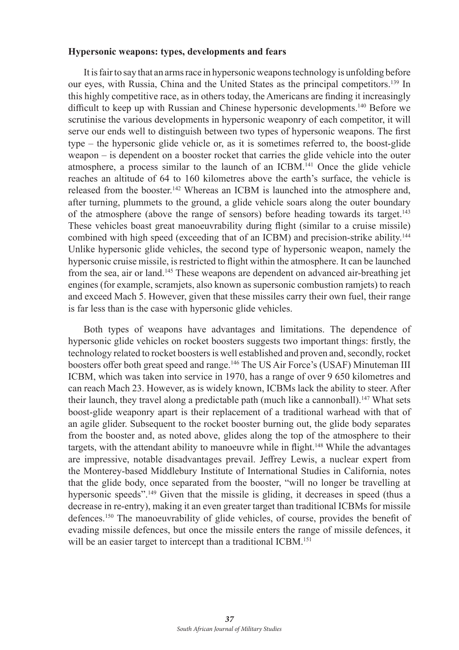#### **Hypersonic weapons: types, developments and fears**

It is fair to say that an arms race in hypersonic weapons technology is unfolding before our eyes, with Russia, China and the United States as the principal competitors.139 In this highly competitive race, as in others today, the Americans are finding it increasingly difficult to keep up with Russian and Chinese hypersonic developments.140 Before we scrutinise the various developments in hypersonic weaponry of each competitor, it will serve our ends well to distinguish between two types of hypersonic weapons. The first type – the hypersonic glide vehicle or, as it is sometimes referred to, the boost-glide weapon – is dependent on a booster rocket that carries the glide vehicle into the outer atmosphere, a process similar to the launch of an ICBM.141 Once the glide vehicle reaches an altitude of 64 to 160 kilometres above the earth's surface, the vehicle is released from the booster.<sup>142</sup> Whereas an ICBM is launched into the atmosphere and, after turning, plummets to the ground, a glide vehicle soars along the outer boundary of the atmosphere (above the range of sensors) before heading towards its target.<sup>143</sup> These vehicles boast great manoeuvrability during flight (similar to a cruise missile) combined with high speed (exceeding that of an ICBM) and precision-strike ability.<sup>144</sup> Unlike hypersonic glide vehicles, the second type of hypersonic weapon, namely the hypersonic cruise missile, is restricted to flight within the atmosphere. It can be launched from the sea, air or land.<sup>145</sup> These weapons are dependent on advanced air-breathing jet engines (for example, scramjets, also known as supersonic combustion ramjets) to reach and exceed Mach 5. However, given that these missiles carry their own fuel, their range is far less than is the case with hypersonic glide vehicles.

Both types of weapons have advantages and limitations. The dependence of hypersonic glide vehicles on rocket boosters suggests two important things: firstly, the technology related to rocket boosters is well established and proven and, secondly, rocket boosters offer both great speed and range.<sup>146</sup> The US Air Force's (USAF) Minuteman III ICBM, which was taken into service in 1970, has a range of over 9 650 kilometres and can reach Mach 23. However, as is widely known, ICBMs lack the ability to steer. After their launch, they travel along a predictable path (much like a cannonball).<sup>147</sup> What sets boost-glide weaponry apart is their replacement of a traditional warhead with that of an agile glider. Subsequent to the rocket booster burning out, the glide body separates from the booster and, as noted above, glides along the top of the atmosphere to their targets, with the attendant ability to manoeuvre while in flight.148 While the advantages are impressive, notable disadvantages prevail. Jeffrey Lewis, a nuclear expert from the Monterey-based Middlebury Institute of International Studies in California, notes that the glide body, once separated from the booster, "will no longer be travelling at hypersonic speeds".<sup>149</sup> Given that the missile is gliding, it decreases in speed (thus a decrease in re-entry), making it an even greater target than traditional ICBMs for missile defences.150 The manoeuvrability of glide vehicles, of course, provides the benefit of evading missile defences, but once the missile enters the range of missile defences, it will be an easier target to intercept than a traditional ICBM.<sup>151</sup>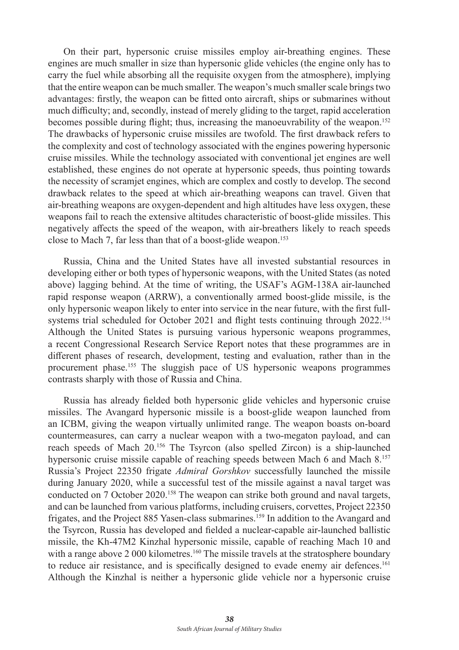On their part, hypersonic cruise missiles employ air-breathing engines. These engines are much smaller in size than hypersonic glide vehicles (the engine only has to carry the fuel while absorbing all the requisite oxygen from the atmosphere), implying that the entire weapon can be much smaller. The weapon's much smaller scale brings two advantages: firstly, the weapon can be fitted onto aircraft, ships or submarines without much difficulty; and, secondly, instead of merely gliding to the target, rapid acceleration becomes possible during flight; thus, increasing the manoeuvrability of the weapon.152 The drawbacks of hypersonic cruise missiles are twofold. The first drawback refers to the complexity and cost of technology associated with the engines powering hypersonic cruise missiles. While the technology associated with conventional jet engines are well established, these engines do not operate at hypersonic speeds, thus pointing towards the necessity of scramjet engines, which are complex and costly to develop. The second drawback relates to the speed at which air-breathing weapons can travel. Given that air-breathing weapons are oxygen-dependent and high altitudes have less oxygen, these weapons fail to reach the extensive altitudes characteristic of boost-glide missiles. This negatively affects the speed of the weapon, with air-breathers likely to reach speeds close to Mach 7, far less than that of a boost-glide weapon.<sup>153</sup>

Russia, China and the United States have all invested substantial resources in developing either or both types of hypersonic weapons, with the United States (as noted above) lagging behind. At the time of writing, the USAF's AGM-138A air-launched rapid response weapon (ARRW), a conventionally armed boost-glide missile, is the only hypersonic weapon likely to enter into service in the near future, with the first fullsystems trial scheduled for October 2021 and flight tests continuing through 2022.<sup>154</sup> Although the United States is pursuing various hypersonic weapons programmes, a recent Congressional Research Service Report notes that these programmes are in different phases of research, development, testing and evaluation, rather than in the procurement phase.<sup>155</sup> The sluggish pace of US hypersonic weapons programmes contrasts sharply with those of Russia and China.

Russia has already fielded both hypersonic glide vehicles and hypersonic cruise missiles. The Avangard hypersonic missile is a boost-glide weapon launched from an ICBM, giving the weapon virtually unlimited range. The weapon boasts on-board countermeasures, can carry a nuclear weapon with a two-megaton payload, and can reach speeds of Mach 20.156 The Tsyrcon (also spelled Zircon) is a ship-launched hypersonic cruise missile capable of reaching speeds between Mach 6 and Mach 8.<sup>157</sup> Russia's Project 22350 frigate *Admiral Gorshkov* successfully launched the missile during January 2020, while a successful test of the missile against a naval target was conducted on 7 October 2020.158 The weapon can strike both ground and naval targets, and can be launched from various platforms, including cruisers, corvettes, Project 22350 frigates, and the Project 885 Yasen-class submarines.159 In addition to the Avangard and the Tsyrcon, Russia has developed and fielded a nuclear-capable air-launched ballistic missile, the Kh-47M2 Kinzhal hypersonic missile, capable of reaching Mach 10 and with a range above 2 000 kilometres.<sup>160</sup> The missile travels at the stratosphere boundary to reduce air resistance, and is specifically designed to evade enemy air defences.<sup>161</sup> Although the Kinzhal is neither a hypersonic glide vehicle nor a hypersonic cruise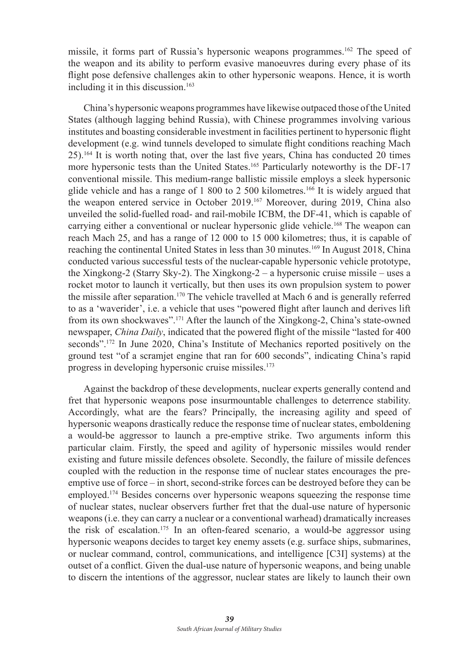missile, it forms part of Russia's hypersonic weapons programmes.162 The speed of the weapon and its ability to perform evasive manoeuvres during every phase of its flight pose defensive challenges akin to other hypersonic weapons. Hence, it is worth including it in this discussion.<sup>163</sup>

China's hypersonic weapons programmes have likewise outpaced those of the United States (although lagging behind Russia), with Chinese programmes involving various institutes and boasting considerable investment in facilities pertinent to hypersonic flight development (e.g. wind tunnels developed to simulate flight conditions reaching Mach 25).164 It is worth noting that, over the last five years, China has conducted 20 times more hypersonic tests than the United States.165 Particularly noteworthy is the DF-17 conventional missile. This medium-range ballistic missile employs a sleek hypersonic glide vehicle and has a range of 1 800 to 2 500 kilometres.166 It is widely argued that the weapon entered service in October 2019.167 Moreover, during 2019, China also unveiled the solid-fuelled road- and rail-mobile ICBM, the DF-41, which is capable of carrying either a conventional or nuclear hypersonic glide vehicle.<sup>168</sup> The weapon can reach Mach 25, and has a range of 12 000 to 15 000 kilometres; thus, it is capable of reaching the continental United States in less than 30 minutes.<sup>169</sup> In August 2018, China conducted various successful tests of the nuclear-capable hypersonic vehicle prototype, the Xingkong-2 (Starry Sky-2). The Xingkong-2 – a hypersonic cruise missile – uses a rocket motor to launch it vertically, but then uses its own propulsion system to power the missile after separation.170 The vehicle travelled at Mach 6 and is generally referred to as a 'waverider', i.e. a vehicle that uses "powered flight after launch and derives lift from its own shockwaves".<sup>171</sup> After the launch of the Xingkong-2, China's state-owned newspaper, *China Daily*, indicated that the powered flight of the missile "lasted for 400 seconds".172 In June 2020, China's Institute of Mechanics reported positively on the ground test "of a scramjet engine that ran for 600 seconds", indicating China's rapid progress in developing hypersonic cruise missiles.<sup>173</sup>

Against the backdrop of these developments, nuclear experts generally contend and fret that hypersonic weapons pose insurmountable challenges to deterrence stability. Accordingly, what are the fears? Principally, the increasing agility and speed of hypersonic weapons drastically reduce the response time of nuclear states, emboldening a would-be aggressor to launch a pre-emptive strike. Two arguments inform this particular claim. Firstly, the speed and agility of hypersonic missiles would render existing and future missile defences obsolete. Secondly, the failure of missile defences coupled with the reduction in the response time of nuclear states encourages the preemptive use of force – in short, second-strike forces can be destroyed before they can be employed.174 Besides concerns over hypersonic weapons squeezing the response time of nuclear states, nuclear observers further fret that the dual-use nature of hypersonic weapons (i.e. they can carry a nuclear or a conventional warhead) dramatically increases the risk of escalation.<sup>175</sup> In an often-feared scenario, a would-be aggressor using hypersonic weapons decides to target key enemy assets (e.g. surface ships, submarines, or nuclear command, control, communications, and intelligence [C3I] systems) at the outset of a conflict. Given the dual-use nature of hypersonic weapons, and being unable to discern the intentions of the aggressor, nuclear states are likely to launch their own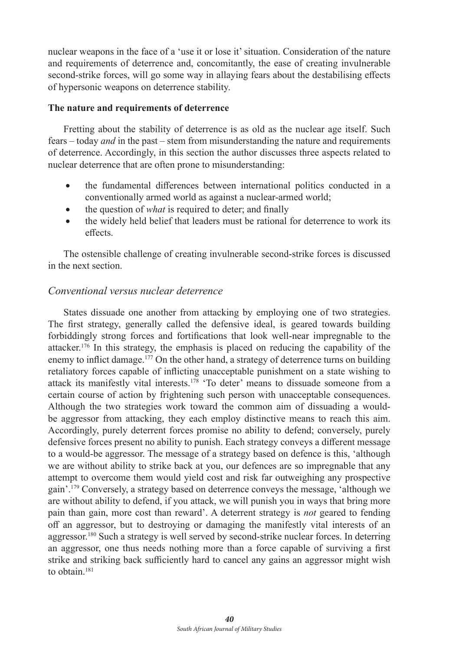nuclear weapons in the face of a 'use it or lose it' situation. Consideration of the nature and requirements of deterrence and, concomitantly, the ease of creating invulnerable second-strike forces, will go some way in allaying fears about the destabilising effects of hypersonic weapons on deterrence stability.

#### **The nature and requirements of deterrence**

Fretting about the stability of deterrence is as old as the nuclear age itself. Such fears – today *and* in the past – stem from misunderstanding the nature and requirements of deterrence. Accordingly, in this section the author discusses three aspects related to nuclear deterrence that are often prone to misunderstanding:

- the fundamental differences between international politics conducted in a conventionally armed world as against a nuclear-armed world;
- the question of *what* is required to deter; and finally
- the widely held belief that leaders must be rational for deterrence to work its effects.

The ostensible challenge of creating invulnerable second-strike forces is discussed in the next section.

## *Conventional versus nuclear deterrence*

States dissuade one another from attacking by employing one of two strategies. The first strategy, generally called the defensive ideal, is geared towards building forbiddingly strong forces and fortifications that look well-near impregnable to the attacker.<sup>176</sup> In this strategy, the emphasis is placed on reducing the capability of the enemy to inflict damage.<sup>177</sup> On the other hand, a strategy of deterrence turns on building retaliatory forces capable of inflicting unacceptable punishment on a state wishing to attack its manifestly vital interests.178 'To deter' means to dissuade someone from a certain course of action by frightening such person with unacceptable consequences. Although the two strategies work toward the common aim of dissuading a wouldbe aggressor from attacking, they each employ distinctive means to reach this aim. Accordingly, purely deterrent forces promise no ability to defend; conversely, purely defensive forces present no ability to punish. Each strategy conveys a different message to a would-be aggressor. The message of a strategy based on defence is this, 'although we are without ability to strike back at you, our defences are so impregnable that any attempt to overcome them would yield cost and risk far outweighing any prospective gain'.179 Conversely, a strategy based on deterrence conveys the message, 'although we are without ability to defend, if you attack, we will punish you in ways that bring more pain than gain, more cost than reward'. A deterrent strategy is *not* geared to fending off an aggressor, but to destroying or damaging the manifestly vital interests of an aggressor.<sup>180</sup> Such a strategy is well served by second-strike nuclear forces. In deterring an aggressor, one thus needs nothing more than a force capable of surviving a first strike and striking back sufficiently hard to cancel any gains an aggressor might wish to obtain.<sup>181</sup>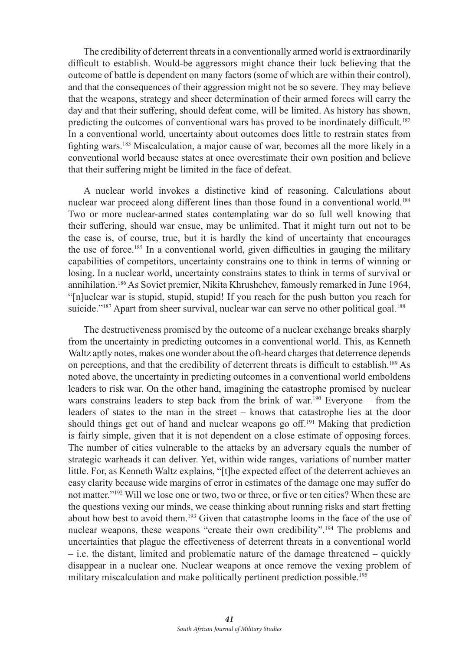The credibility of deterrent threats in a conventionally armed world is extraordinarily difficult to establish. Would-be aggressors might chance their luck believing that the outcome of battle is dependent on many factors (some of which are within their control), and that the consequences of their aggression might not be so severe. They may believe that the weapons, strategy and sheer determination of their armed forces will carry the day and that their suffering, should defeat come, will be limited. As history has shown, predicting the outcomes of conventional wars has proved to be inordinately difficult.182 In a conventional world, uncertainty about outcomes does little to restrain states from fighting wars.183 Miscalculation, a major cause of war, becomes all the more likely in a conventional world because states at once overestimate their own position and believe that their suffering might be limited in the face of defeat.

A nuclear world invokes a distinctive kind of reasoning. Calculations about nuclear war proceed along different lines than those found in a conventional world.<sup>184</sup> Two or more nuclear-armed states contemplating war do so full well knowing that their suffering, should war ensue, may be unlimited. That it might turn out not to be the case is, of course, true, but it is hardly the kind of uncertainty that encourages the use of force.<sup>185</sup> In a conventional world, given difficulties in gauging the military capabilities of competitors, uncertainty constrains one to think in terms of winning or losing. In a nuclear world, uncertainty constrains states to think in terms of survival or annihilation.186 As Soviet premier, Nikita Khrushchev, famously remarked in June 1964, "[n]uclear war is stupid, stupid, stupid! If you reach for the push button you reach for suicide."<sup>187</sup> Apart from sheer survival, nuclear war can serve no other political goal.<sup>188</sup>

The destructiveness promised by the outcome of a nuclear exchange breaks sharply from the uncertainty in predicting outcomes in a conventional world. This, as Kenneth Waltz aptly notes, makes one wonder about the oft-heard charges that deterrence depends on perceptions, and that the credibility of deterrent threats is difficult to establish.189 As noted above, the uncertainty in predicting outcomes in a conventional world emboldens leaders to risk war. On the other hand, imagining the catastrophe promised by nuclear wars constrains leaders to step back from the brink of war.<sup>190</sup> Everyone – from the leaders of states to the man in the street – knows that catastrophe lies at the door should things get out of hand and nuclear weapons go off.191 Making that prediction is fairly simple, given that it is not dependent on a close estimate of opposing forces. The number of cities vulnerable to the attacks by an adversary equals the number of strategic warheads it can deliver. Yet, within wide ranges, variations of number matter little. For, as Kenneth Waltz explains, "[t]he expected effect of the deterrent achieves an easy clarity because wide margins of error in estimates of the damage one may suffer do not matter."192 Will we lose one or two, two or three, or five or ten cities? When these are the questions vexing our minds, we cease thinking about running risks and start fretting about how best to avoid them.193 Given that catastrophe looms in the face of the use of nuclear weapons, these weapons "create their own credibility".<sup>194</sup> The problems and uncertainties that plague the effectiveness of deterrent threats in a conventional world – i.e. the distant, limited and problematic nature of the damage threatened – quickly disappear in a nuclear one. Nuclear weapons at once remove the vexing problem of military miscalculation and make politically pertinent prediction possible.195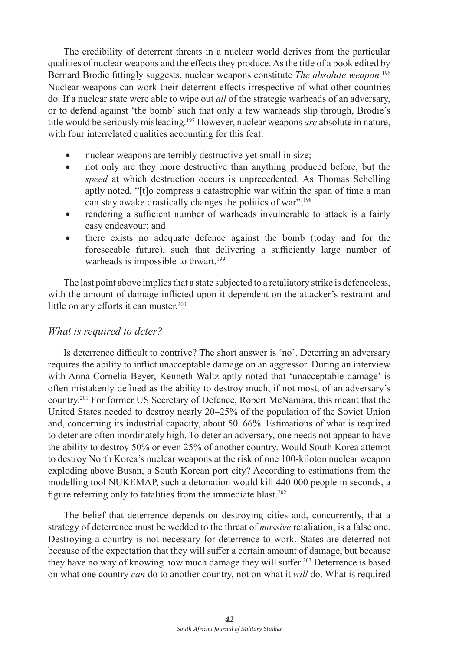The credibility of deterrent threats in a nuclear world derives from the particular qualities of nuclear weapons and the effects they produce. As the title of a book edited by Bernard Brodie fittingly suggests, nuclear weapons constitute *The absolute weapon.*<sup>196</sup> Nuclear weapons can work their deterrent effects irrespective of what other countries do. If a nuclear state were able to wipe out *all* of the strategic warheads of an adversary, or to defend against 'the bomb' such that only a few warheads slip through, Brodie's title would be seriously misleading.197 However, nuclear weapons *are* absolute in nature, with four interrelated qualities accounting for this feat:

- nuclear weapons are terribly destructive yet small in size;
- not only are they more destructive than anything produced before, but the *speed* at which destruction occurs is unprecedented. As Thomas Schelling aptly noted, "[t]o compress a catastrophic war within the span of time a man can stay awake drastically changes the politics of war";<sup>198</sup>
- rendering a sufficient number of warheads invulnerable to attack is a fairly easy endeavour; and
- there exists no adequate defence against the bomb (today and for the foreseeable future), such that delivering a sufficiently large number of warheads is impossible to thwart.<sup>199</sup>

The last point above implies that a state subjected to a retaliatory strike is defenceless, with the amount of damage inflicted upon it dependent on the attacker's restraint and little on any efforts it can muster.<sup>200</sup>

## *What is required to deter?*

Is deterrence difficult to contrive? The short answer is 'no'. Deterring an adversary requires the ability to inflict unacceptable damage on an aggressor. During an interview with Anna Cornelia Beyer, Kenneth Waltz aptly noted that 'unacceptable damage' is often mistakenly defined as the ability to destroy much, if not most, of an adversary's country.201 For former US Secretary of Defence, Robert McNamara, this meant that the United States needed to destroy nearly 20–25% of the population of the Soviet Union and, concerning its industrial capacity, about 50–66%. Estimations of what is required to deter are often inordinately high. To deter an adversary, one needs not appear to have the ability to destroy 50% or even 25% of another country. Would South Korea attempt to destroy North Korea's nuclear weapons at the risk of one 100-kiloton nuclear weapon exploding above Busan, a South Korean port city? According to estimations from the modelling tool NUKEMAP, such a detonation would kill 440 000 people in seconds, a figure referring only to fatalities from the immediate blast.<sup>202</sup>

The belief that deterrence depends on destroying cities and, concurrently, that a strategy of deterrence must be wedded to the threat of *massive* retaliation, is a false one. Destroying a country is not necessary for deterrence to work. States are deterred not because of the expectation that they will suffer a certain amount of damage, but because they have no way of knowing how much damage they will suffer.203 Deterrence is based on what one country *can* do to another country, not on what it *will* do. What is required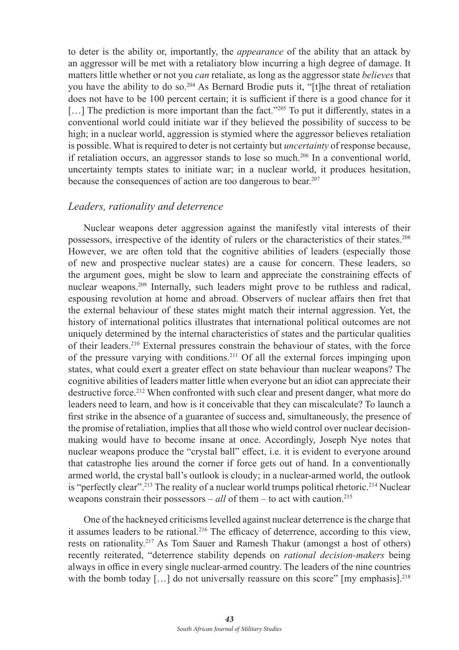to deter is the ability or, importantly, the *appearance* of the ability that an attack by an aggressor will be met with a retaliatory blow incurring a high degree of damage. It matters little whether or not you *can* retaliate, as long as the aggressor state *believes* that you have the ability to do so.204 As Bernard Brodie puts it, "[t]he threat of retaliation does not have to be 100 percent certain; it is sufficient if there is a good chance for it [...] The prediction is more important than the fact."<sup>205</sup> To put it differently, states in a conventional world could initiate war if they believed the possibility of success to be high; in a nuclear world, aggression is stymied where the aggressor believes retaliation is possible. What is required to deter is not certainty but *uncertainty* of response because, if retaliation occurs, an aggressor stands to lose so much.<sup>206</sup> In a conventional world, uncertainty tempts states to initiate war; in a nuclear world, it produces hesitation, because the consequences of action are too dangerous to bear.207

## *Leaders, rationality and deterrence*

Nuclear weapons deter aggression against the manifestly vital interests of their possessors, irrespective of the identity of rulers or the characteristics of their states.208 However, we are often told that the cognitive abilities of leaders (especially those of new and prospective nuclear states) are a cause for concern. These leaders, so the argument goes, might be slow to learn and appreciate the constraining effects of nuclear weapons.209 Internally, such leaders might prove to be ruthless and radical, espousing revolution at home and abroad. Observers of nuclear affairs then fret that the external behaviour of these states might match their internal aggression. Yet, the history of international politics illustrates that international political outcomes are not uniquely determined by the internal characteristics of states and the particular qualities of their leaders.210 External pressures constrain the behaviour of states, with the force of the pressure varying with conditions.211 Of all the external forces impinging upon states, what could exert a greater effect on state behaviour than nuclear weapons? The cognitive abilities of leaders matter little when everyone but an idiot can appreciate their destructive force.212 When confronted with such clear and present danger, what more do leaders need to learn, and how is it conceivable that they can miscalculate? To launch a first strike in the absence of a guarantee of success and, simultaneously, the presence of the promise of retaliation, implies that all those who wield control over nuclear decisionmaking would have to become insane at once. Accordingly, Joseph Nye notes that nuclear weapons produce the "crystal ball" effect, i.e. it is evident to everyone around that catastrophe lies around the corner if force gets out of hand. In a conventionally armed world, the crystal ball's outlook is cloudy; in a nuclear-armed world, the outlook is "perfectly clear".<sup>213</sup> The reality of a nuclear world trumps political rhetoric.<sup>214</sup> Nuclear weapons constrain their possessors –  $all$  of them – to act with caution.<sup>215</sup>

One of the hackneyed criticisms levelled against nuclear deterrence is the charge that it assumes leaders to be rational.<sup>216</sup> The efficacy of deterrence, according to this view, rests on rationality.217 As Tom Sauer and Ramesh Thakur (amongst a host of others) recently reiterated, "deterrence stability depends on *rational decision-makers* being always in office in every single nuclear-armed country. The leaders of the nine countries with the bomb today [...] do not universally reassure on this score" [my emphasis].<sup>218</sup>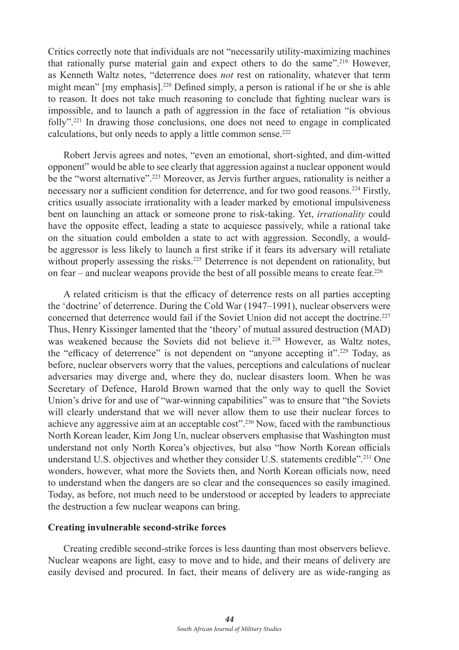Critics correctly note that individuals are not "necessarily utility-maximizing machines that rationally purse material gain and expect others to do the same".219 However, as Kenneth Waltz notes, "deterrence does *not* rest on rationality, whatever that term might mean" [my emphasis].220 Defined simply, a person is rational if he or she is able to reason. It does not take much reasoning to conclude that fighting nuclear wars is impossible, and to launch a path of aggression in the face of retaliation "is obvious folly".221 In drawing those conclusions, one does not need to engage in complicated calculations, but only needs to apply a little common sense.<sup>222</sup>

Robert Jervis agrees and notes, "even an emotional, short-sighted, and dim-witted opponent" would be able to see clearly that aggression against a nuclear opponent would be the "worst alternative".<sup>223</sup> Moreover, as Jervis further argues, rationality is neither a necessary nor a sufficient condition for deterrence, and for two good reasons.224 Firstly, critics usually associate irrationality with a leader marked by emotional impulsiveness bent on launching an attack or someone prone to risk-taking. Yet, *irrationality* could have the opposite effect, leading a state to acquiesce passively, while a rational take on the situation could embolden a state to act with aggression. Secondly, a wouldbe aggressor is less likely to launch a first strike if it fears its adversary will retaliate without properly assessing the risks.<sup>225</sup> Deterrence is not dependent on rationality, but on fear – and nuclear weapons provide the best of all possible means to create fear. 226

A related criticism is that the efficacy of deterrence rests on all parties accepting the 'doctrine' of deterrence. During the Cold War (1947–1991), nuclear observers were concerned that deterrence would fail if the Soviet Union did not accept the doctrine.227 Thus, Henry Kissinger lamented that the 'theory' of mutual assured destruction (MAD) was weakened because the Soviets did not believe it.<sup>228</sup> However, as Waltz notes, the "efficacy of deterrence" is not dependent on "anyone accepting it".229 Today, as before, nuclear observers worry that the values, perceptions and calculations of nuclear adversaries may diverge and, where they do, nuclear disasters loom. When he was Secretary of Defence, Harold Brown warned that the only way to quell the Soviet Union's drive for and use of "war-winning capabilities" was to ensure that "the Soviets will clearly understand that we will never allow them to use their nuclear forces to achieve any aggressive aim at an acceptable cost".230 Now, faced with the rambunctious North Korean leader, Kim Jong Un, nuclear observers emphasise that Washington must understand not only North Korea's objectives, but also "how North Korean officials understand U.S. objectives and whether they consider U.S. statements credible".231 One wonders, however, what more the Soviets then, and North Korean officials now, need to understand when the dangers are so clear and the consequences so easily imagined. Today, as before, not much need to be understood or accepted by leaders to appreciate the destruction a few nuclear weapons can bring.

#### **Creating invulnerable second-strike forces**

Creating credible second-strike forces is less daunting than most observers believe. Nuclear weapons are light, easy to move and to hide, and their means of delivery are easily devised and procured. In fact, their means of delivery are as wide-ranging as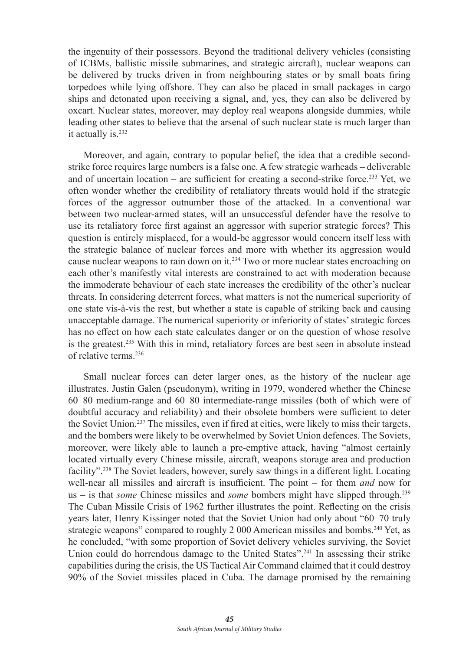the ingenuity of their possessors. Beyond the traditional delivery vehicles (consisting of ICBMs, ballistic missile submarines, and strategic aircraft), nuclear weapons can be delivered by trucks driven in from neighbouring states or by small boats firing torpedoes while lying offshore. They can also be placed in small packages in cargo ships and detonated upon receiving a signal, and, yes, they can also be delivered by oxcart. Nuclear states, moreover, may deploy real weapons alongside dummies, while leading other states to believe that the arsenal of such nuclear state is much larger than it actually is.232

Moreover, and again, contrary to popular belief, the idea that a credible secondstrike force requires large numbers is a false one. A few strategic warheads – deliverable and of uncertain location – are sufficient for creating a second-strike force.<sup>233</sup> Yet, we often wonder whether the credibility of retaliatory threats would hold if the strategic forces of the aggressor outnumber those of the attacked. In a conventional war between two nuclear-armed states, will an unsuccessful defender have the resolve to use its retaliatory force first against an aggressor with superior strategic forces? This question is entirely misplaced, for a would-be aggressor would concern itself less with the strategic balance of nuclear forces and more with whether its aggression would cause nuclear weapons to rain down on it.234 Two or more nuclear states encroaching on each other's manifestly vital interests are constrained to act with moderation because the immoderate behaviour of each state increases the credibility of the other's nuclear threats. In considering deterrent forces, what matters is not the numerical superiority of one state vis-à-vis the rest, but whether a state is capable of striking back and causing unacceptable damage. The numerical superiority or inferiority of states' strategic forces has no effect on how each state calculates danger or on the question of whose resolve is the greatest.235 With this in mind, retaliatory forces are best seen in absolute instead of relative terms.236

Small nuclear forces can deter larger ones, as the history of the nuclear age illustrates. Justin Galen (pseudonym), writing in 1979, wondered whether the Chinese 60–80 medium-range and 60–80 intermediate-range missiles (both of which were of doubtful accuracy and reliability) and their obsolete bombers were sufficient to deter the Soviet Union.237 The missiles, even if fired at cities, were likely to miss their targets, and the bombers were likely to be overwhelmed by Soviet Union defences. The Soviets, moreover, were likely able to launch a pre-emptive attack, having "almost certainly located virtually every Chinese missile, aircraft, weapons storage area and production facility".238 The Soviet leaders, however, surely saw things in a different light. Locating well-near all missiles and aircraft is insufficient. The point – for them *and* now for us – is that *some* Chinese missiles and *some* bombers might have slipped through.239 The Cuban Missile Crisis of 1962 further illustrates the point. Reflecting on the crisis years later, Henry Kissinger noted that the Soviet Union had only about "60–70 truly strategic weapons" compared to roughly 2 000 American missiles and bombs.<sup>240</sup> Yet, as he concluded, "with some proportion of Soviet delivery vehicles surviving, the Soviet Union could do horrendous damage to the United States".241 In assessing their strike capabilities during the crisis, the US Tactical Air Command claimed that it could destroy 90% of the Soviet missiles placed in Cuba. The damage promised by the remaining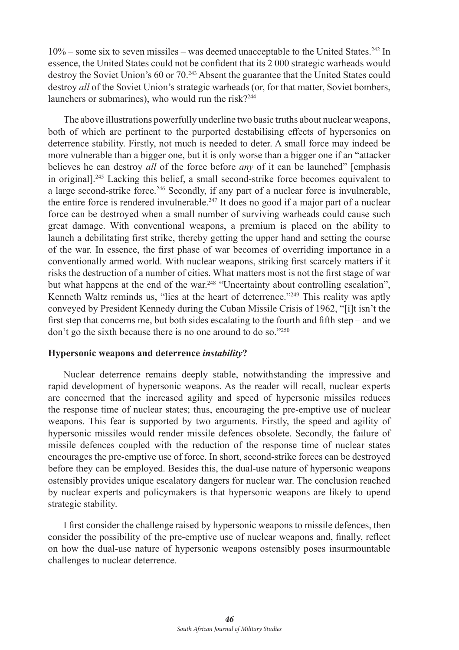$10\%$  – some six to seven missiles – was deemed unacceptable to the United States.<sup>242</sup> In essence, the United States could not be confident that its 2 000 strategic warheads would destroy the Soviet Union's 60 or 70.<sup>243</sup> Absent the guarantee that the United States could destroy *all* of the Soviet Union's strategic warheads (or, for that matter, Soviet bombers, launchers or submarines), who would run the risk?<sup>244</sup>

The above illustrations powerfully underline two basic truths about nuclear weapons, both of which are pertinent to the purported destabilising effects of hypersonics on deterrence stability. Firstly, not much is needed to deter. A small force may indeed be more vulnerable than a bigger one, but it is only worse than a bigger one if an "attacker believes he can destroy *all* of the force before *any* of it can be launched" [emphasis in original].245 Lacking this belief, a small second-strike force becomes equivalent to a large second-strike force.246 Secondly, if any part of a nuclear force is invulnerable, the entire force is rendered invulnerable.<sup>247</sup> It does no good if a major part of a nuclear force can be destroyed when a small number of surviving warheads could cause such great damage. With conventional weapons, a premium is placed on the ability to launch a debilitating first strike, thereby getting the upper hand and setting the course of the war. In essence, the first phase of war becomes of overriding importance in a conventionally armed world. With nuclear weapons, striking first scarcely matters if it risks the destruction of a number of cities. What matters most is not the first stage of war but what happens at the end of the war.<sup>248</sup> "Uncertainty about controlling escalation", Kenneth Waltz reminds us, "lies at the heart of deterrence."<sup>249</sup> This reality was aptly conveyed by President Kennedy during the Cuban Missile Crisis of 1962, "[i]t isn't the first step that concerns me, but both sides escalating to the fourth and fifth step – and we don't go the sixth because there is no one around to do so."250

#### **Hypersonic weapons and deterrence** *instability***?**

Nuclear deterrence remains deeply stable, notwithstanding the impressive and rapid development of hypersonic weapons. As the reader will recall, nuclear experts are concerned that the increased agility and speed of hypersonic missiles reduces the response time of nuclear states; thus, encouraging the pre-emptive use of nuclear weapons. This fear is supported by two arguments. Firstly, the speed and agility of hypersonic missiles would render missile defences obsolete. Secondly, the failure of missile defences coupled with the reduction of the response time of nuclear states encourages the pre-emptive use of force. In short, second-strike forces can be destroyed before they can be employed. Besides this, the dual-use nature of hypersonic weapons ostensibly provides unique escalatory dangers for nuclear war. The conclusion reached by nuclear experts and policymakers is that hypersonic weapons are likely to upend strategic stability.

I first consider the challenge raised by hypersonic weapons to missile defences, then consider the possibility of the pre-emptive use of nuclear weapons and, finally, reflect on how the dual-use nature of hypersonic weapons ostensibly poses insurmountable challenges to nuclear deterrence.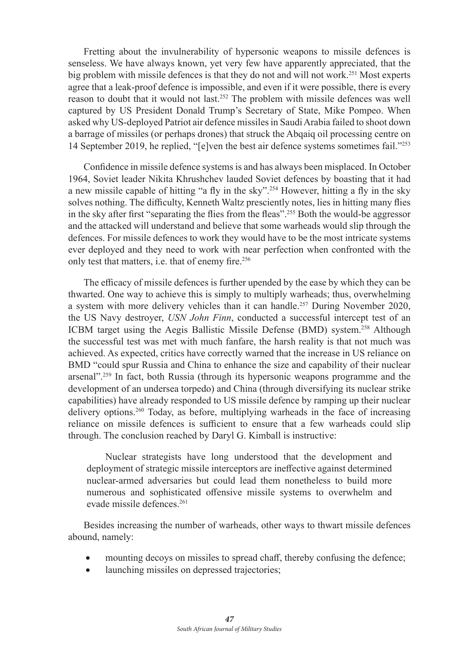Fretting about the invulnerability of hypersonic weapons to missile defences is senseless. We have always known, yet very few have apparently appreciated, that the big problem with missile defences is that they do not and will not work.<sup>251</sup> Most experts agree that a leak-proof defence is impossible, and even if it were possible, there is every reason to doubt that it would not last.252 The problem with missile defences was well captured by US President Donald Trump's Secretary of State, Mike Pompeo. When asked why US-deployed Patriot air defence missiles in Saudi Arabia failed to shoot down a barrage of missiles (or perhaps drones) that struck the Abqaiq oil processing centre on 14 September 2019, he replied, "[e]ven the best air defence systems sometimes fail."253

Confidence in missile defence systems is and has always been misplaced. In October 1964, Soviet leader Nikita Khrushchev lauded Soviet defences by boasting that it had a new missile capable of hitting "a fly in the sky".254 However, hitting a fly in the sky solves nothing. The difficulty, Kenneth Waltz presciently notes, lies in hitting many flies in the sky after first "separating the flies from the fleas".255 Both the would-be aggressor and the attacked will understand and believe that some warheads would slip through the defences. For missile defences to work they would have to be the most intricate systems ever deployed and they need to work with near perfection when confronted with the only test that matters, i.e. that of enemy fire.<sup>256</sup>

The efficacy of missile defences is further upended by the ease by which they can be thwarted. One way to achieve this is simply to multiply warheads; thus, overwhelming a system with more delivery vehicles than it can handle.257 During November 2020, the US Navy destroyer, *USN John Finn*, conducted a successful intercept test of an ICBM target using the Aegis Ballistic Missile Defense (BMD) system.258 Although the successful test was met with much fanfare, the harsh reality is that not much was achieved. As expected, critics have correctly warned that the increase in US reliance on BMD "could spur Russia and China to enhance the size and capability of their nuclear arsenal".259 In fact, both Russia (through its hypersonic weapons programme and the development of an undersea torpedo) and China (through diversifying its nuclear strike capabilities) have already responded to US missile defence by ramping up their nuclear delivery options.260 Today, as before, multiplying warheads in the face of increasing reliance on missile defences is sufficient to ensure that a few warheads could slip through. The conclusion reached by Daryl G. Kimball is instructive:

Nuclear strategists have long understood that the development and deployment of strategic missile interceptors are ineffective against determined nuclear-armed adversaries but could lead them nonetheless to build more numerous and sophisticated offensive missile systems to overwhelm and evade missile defences.261

Besides increasing the number of warheads, other ways to thwart missile defences abound, namely:

- mounting decoys on missiles to spread chaff, thereby confusing the defence;
- launching missiles on depressed trajectories;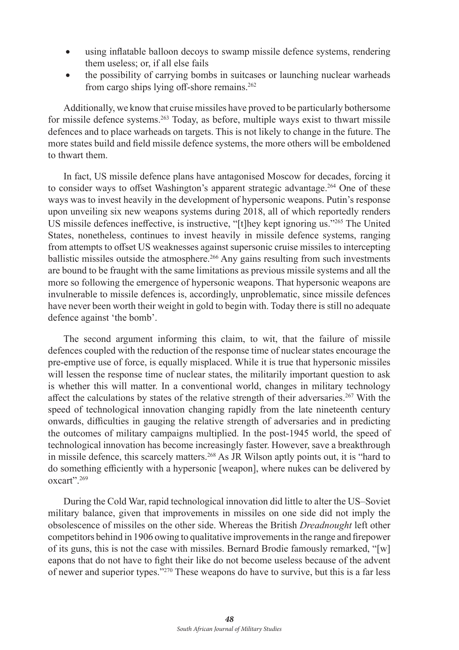- using inflatable balloon decoys to swamp missile defence systems, rendering them useless; or, if all else fails
- the possibility of carrying bombs in suitcases or launching nuclear warheads from cargo ships lying off-shore remains.<sup>262</sup>

Additionally, we know that cruise missiles have proved to be particularly bothersome for missile defence systems.263 Today, as before, multiple ways exist to thwart missile defences and to place warheads on targets. This is not likely to change in the future. The more states build and field missile defence systems, the more others will be emboldened to thwart them.

In fact, US missile defence plans have antagonised Moscow for decades, forcing it to consider ways to offset Washington's apparent strategic advantage.264 One of these ways was to invest heavily in the development of hypersonic weapons. Putin's response upon unveiling six new weapons systems during 2018, all of which reportedly renders US missile defences ineffective, is instructive, "[t]hey kept ignoring us."265 The United States, nonetheless, continues to invest heavily in missile defence systems, ranging from attempts to offset US weaknesses against supersonic cruise missiles to intercepting ballistic missiles outside the atmosphere.<sup>266</sup> Any gains resulting from such investments are bound to be fraught with the same limitations as previous missile systems and all the more so following the emergence of hypersonic weapons. That hypersonic weapons are invulnerable to missile defences is, accordingly, unproblematic, since missile defences have never been worth their weight in gold to begin with. Today there is still no adequate defence against 'the bomb'.

The second argument informing this claim, to wit, that the failure of missile defences coupled with the reduction of the response time of nuclear states encourage the pre-emptive use of force, is equally misplaced. While it is true that hypersonic missiles will lessen the response time of nuclear states, the militarily important question to ask is whether this will matter. In a conventional world, changes in military technology affect the calculations by states of the relative strength of their adversaries.267 With the speed of technological innovation changing rapidly from the late nineteenth century onwards, difficulties in gauging the relative strength of adversaries and in predicting the outcomes of military campaigns multiplied. In the post-1945 world, the speed of technological innovation has become increasingly faster. However, save a breakthrough in missile defence, this scarcely matters.268 As JR Wilson aptly points out, it is "hard to do something efficiently with a hypersonic [weapon], where nukes can be delivered by oxcart".269

During the Cold War, rapid technological innovation did little to alter the US–Soviet military balance, given that improvements in missiles on one side did not imply the obsolescence of missiles on the other side. Whereas the British *Dreadnought* left other competitors behind in 1906 owing to qualitative improvements in the range and firepower of its guns, this is not the case with missiles. Bernard Brodie famously remarked, "[w] eapons that do not have to fight their like do not become useless because of the advent of newer and superior types."270 These weapons do have to survive, but this is a far less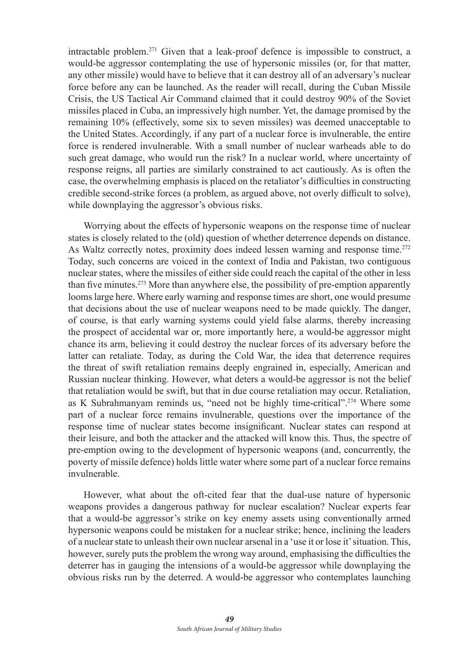intractable problem.271 Given that a leak-proof defence is impossible to construct, a would-be aggressor contemplating the use of hypersonic missiles (or, for that matter, any other missile) would have to believe that it can destroy all of an adversary's nuclear force before any can be launched. As the reader will recall, during the Cuban Missile Crisis, the US Tactical Air Command claimed that it could destroy 90% of the Soviet missiles placed in Cuba, an impressively high number. Yet, the damage promised by the remaining 10% (effectively, some six to seven missiles) was deemed unacceptable to the United States. Accordingly, if any part of a nuclear force is invulnerable, the entire force is rendered invulnerable. With a small number of nuclear warheads able to do such great damage, who would run the risk? In a nuclear world, where uncertainty of response reigns, all parties are similarly constrained to act cautiously. As is often the case, the overwhelming emphasis is placed on the retaliator's difficulties in constructing credible second-strike forces (a problem, as argued above, not overly difficult to solve), while downplaying the aggressor's obvious risks.

Worrying about the effects of hypersonic weapons on the response time of nuclear states is closely related to the (old) question of whether deterrence depends on distance. As Waltz correctly notes, proximity does indeed lessen warning and response time.<sup>272</sup> Today, such concerns are voiced in the context of India and Pakistan, two contiguous nuclear states, where the missiles of either side could reach the capital of the other in less than five minutes.<sup>273</sup> More than anywhere else, the possibility of pre-emption apparently looms large here. Where early warning and response times are short, one would presume that decisions about the use of nuclear weapons need to be made quickly. The danger, of course, is that early warning systems could yield false alarms, thereby increasing the prospect of accidental war or, more importantly here, a would-be aggressor might chance its arm, believing it could destroy the nuclear forces of its adversary before the latter can retaliate. Today, as during the Cold War, the idea that deterrence requires the threat of swift retaliation remains deeply engrained in, especially, American and Russian nuclear thinking. However, what deters a would-be aggressor is not the belief that retaliation would be swift, but that in due course retaliation may occur. Retaliation, as K Subrahmanyam reminds us, "need not be highly time-critical".274 Where some part of a nuclear force remains invulnerable, questions over the importance of the response time of nuclear states become insignificant. Nuclear states can respond at their leisure, and both the attacker and the attacked will know this. Thus, the spectre of pre-emption owing to the development of hypersonic weapons (and, concurrently, the poverty of missile defence) holds little water where some part of a nuclear force remains invulnerable.

However, what about the oft-cited fear that the dual-use nature of hypersonic weapons provides a dangerous pathway for nuclear escalation? Nuclear experts fear that a would-be aggressor's strike on key enemy assets using conventionally armed hypersonic weapons could be mistaken for a nuclear strike; hence, inclining the leaders of a nuclear state to unleash their own nuclear arsenal in a 'use it or lose it' situation. This, however, surely puts the problem the wrong way around, emphasising the difficulties the deterrer has in gauging the intensions of a would-be aggressor while downplaying the obvious risks run by the deterred. A would-be aggressor who contemplates launching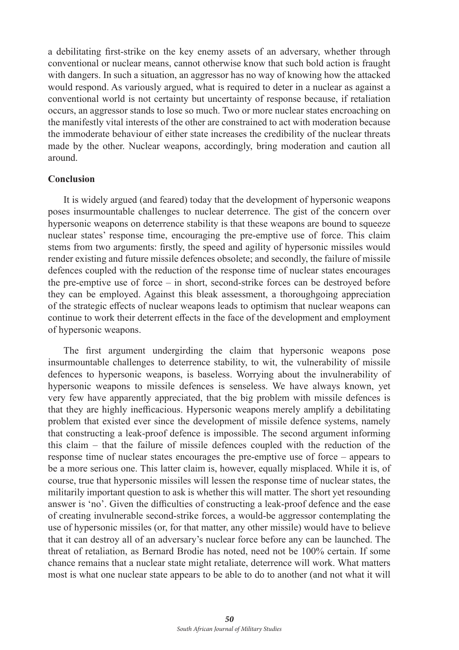a debilitating first-strike on the key enemy assets of an adversary, whether through conventional or nuclear means, cannot otherwise know that such bold action is fraught with dangers. In such a situation, an aggressor has no way of knowing how the attacked would respond. As variously argued, what is required to deter in a nuclear as against a conventional world is not certainty but uncertainty of response because, if retaliation occurs, an aggressor stands to lose so much. Two or more nuclear states encroaching on the manifestly vital interests of the other are constrained to act with moderation because the immoderate behaviour of either state increases the credibility of the nuclear threats made by the other. Nuclear weapons, accordingly, bring moderation and caution all around.

#### **Conclusion**

It is widely argued (and feared) today that the development of hypersonic weapons poses insurmountable challenges to nuclear deterrence. The gist of the concern over hypersonic weapons on deterrence stability is that these weapons are bound to squeeze nuclear states' response time, encouraging the pre-emptive use of force. This claim stems from two arguments: firstly, the speed and agility of hypersonic missiles would render existing and future missile defences obsolete; and secondly, the failure of missile defences coupled with the reduction of the response time of nuclear states encourages the pre-emptive use of force – in short, second-strike forces can be destroyed before they can be employed. Against this bleak assessment, a thoroughgoing appreciation of the strategic effects of nuclear weapons leads to optimism that nuclear weapons can continue to work their deterrent effects in the face of the development and employment of hypersonic weapons.

The first argument undergirding the claim that hypersonic weapons pose insurmountable challenges to deterrence stability, to wit, the vulnerability of missile defences to hypersonic weapons, is baseless. Worrying about the invulnerability of hypersonic weapons to missile defences is senseless. We have always known, yet very few have apparently appreciated, that the big problem with missile defences is that they are highly inefficacious. Hypersonic weapons merely amplify a debilitating problem that existed ever since the development of missile defence systems, namely that constructing a leak-proof defence is impossible. The second argument informing this claim – that the failure of missile defences coupled with the reduction of the response time of nuclear states encourages the pre-emptive use of force – appears to be a more serious one. This latter claim is, however, equally misplaced. While it is, of course, true that hypersonic missiles will lessen the response time of nuclear states, the militarily important question to ask is whether this will matter. The short yet resounding answer is 'no'. Given the difficulties of constructing a leak-proof defence and the ease of creating invulnerable second-strike forces, a would-be aggressor contemplating the use of hypersonic missiles (or, for that matter, any other missile) would have to believe that it can destroy all of an adversary's nuclear force before any can be launched. The threat of retaliation, as Bernard Brodie has noted, need not be 100% certain. If some chance remains that a nuclear state might retaliate, deterrence will work. What matters most is what one nuclear state appears to be able to do to another (and not what it will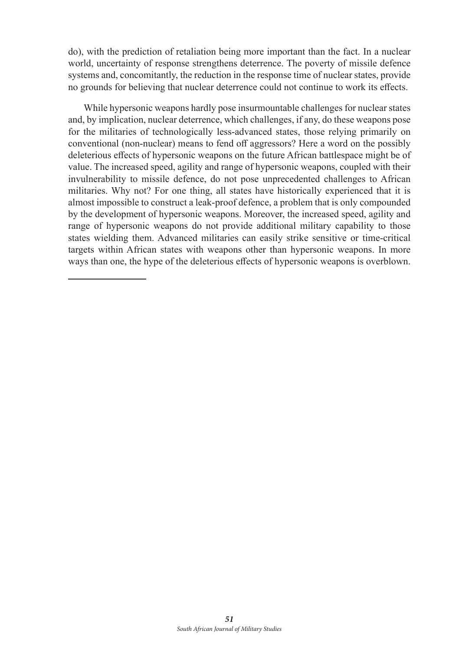do), with the prediction of retaliation being more important than the fact. In a nuclear world, uncertainty of response strengthens deterrence. The poverty of missile defence systems and, concomitantly, the reduction in the response time of nuclear states, provide no grounds for believing that nuclear deterrence could not continue to work its effects.

While hypersonic weapons hardly pose insurmountable challenges for nuclear states and, by implication, nuclear deterrence, which challenges, if any, do these weapons pose for the militaries of technologically less-advanced states, those relying primarily on conventional (non-nuclear) means to fend off aggressors? Here a word on the possibly deleterious effects of hypersonic weapons on the future African battlespace might be of value. The increased speed, agility and range of hypersonic weapons, coupled with their invulnerability to missile defence, do not pose unprecedented challenges to African militaries. Why not? For one thing, all states have historically experienced that it is almost impossible to construct a leak-proof defence, a problem that is only compounded by the development of hypersonic weapons. Moreover, the increased speed, agility and range of hypersonic weapons do not provide additional military capability to those states wielding them. Advanced militaries can easily strike sensitive or time-critical targets within African states with weapons other than hypersonic weapons. In more ways than one, the hype of the deleterious effects of hypersonic weapons is overblown.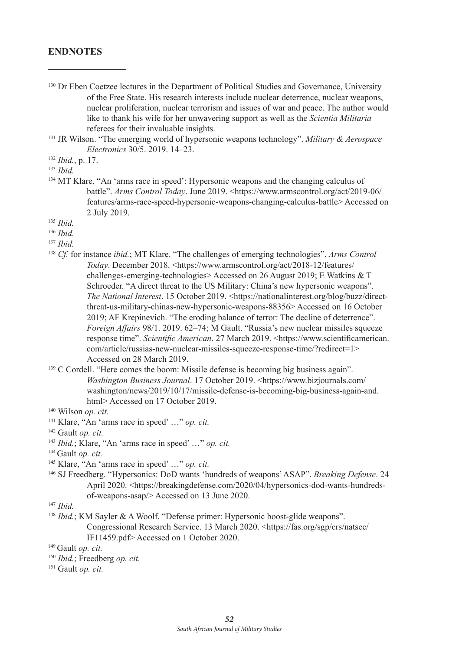### **ENDNOTES**

- <sup>130</sup> Dr Eben Coetzee lectures in the Department of Political Studies and Governance, University of the Free State. His research interests include nuclear deterrence, nuclear weapons, nuclear proliferation, nuclear terrorism and issues of war and peace. The author would like to thank his wife for her unwavering support as well as the *Scientia Militaria*  referees for their invaluable insights.
- <sup>131</sup> JR Wilson. "The emerging world of hypersonic weapons technology". *Military & Aerospace Electronics* 30/5. 2019. 14–23.

- <sup>134</sup> MT Klare. "An 'arms race in speed': Hypersonic weapons and the changing calculus of battle". *Arms Control Today*. June 2019. <https://www.armscontrol.org/act/2019-06/ features/arms-race-speed-hypersonic-weapons-changing-calculus-battle> Accessed on 2 July 2019.
- <sup>135</sup> *Ibid.*
- <sup>136</sup> *Ibid.*
- <sup>137</sup> *Ibid.*
- <sup>138</sup> *Cf.* for instance *ibid.*; MT Klare. "The challenges of emerging technologies". *Arms Control Today*. December 2018. <https://www.armscontrol.org/act/2018-12/features/ challenges-emerging-technologies> Accessed on 26 August 2019; E Watkins & T Schroeder. "A direct threat to the US Military: China's new hypersonic weapons". *The National Interest.* 15 October 2019. <https://nationalinterest.org/blog/buzz/directthreat-us-military-chinas-new-hypersonic-weapons-88356> Accessed on 16 October 2019; AF Krepinevich. "The eroding balance of terror: The decline of deterrence". *Foreign Affairs* 98/1. 2019. 62–74; M Gault. "Russia's new nuclear missiles squeeze response time". *Scientific American*. 27 March 2019. <https://www.scientificamerican. com/article/russias-new-nuclear-missiles-squeeze-response-time/?redirect=1> Accessed on 28 March 2019.
- <sup>139</sup> C Cordell. "Here comes the boom: Missile defense is becoming big business again". *Washington Business Journal*. 17 October 2019. <https://www.bizjournals.com/ washington/news/2019/10/17/missile-defense-is-becoming-big-business-again-and. html> Accessed on 17 October 2019.

- 141 Klare, "An 'arms race in speed' …" *op. cit.*
- <sup>142</sup> Gault *op. cit.*
- <sup>143</sup> *Ibid.*; Klare, "An 'arms race in speed' …" *op. cit.*
- 144 Gault *op. cit.*
- 145 Klare, "An 'arms race in speed' …" *op. cit.*
- 146 SJ Freedberg. "Hypersonics: DoD wants 'hundreds of weapons' ASAP". *Breaking Defense*. 24 April 2020. <https://breakingdefense.com/2020/04/hypersonics-dod-wants-hundredsof-weapons-asap/> Accessed on 13 June 2020.
- <sup>147</sup> *Ibid.*
- <sup>148</sup> *Ibid.*; KM Sayler & A Woolf. "Defense primer: Hypersonic boost-glide weapons". Congressional Research Service. 13 March 2020. <https://fas.org/sgp/crs/natsec/ IF11459.pdf> Accessed on 1 October 2020.
- 149 Gault *op. cit.*
- <sup>150</sup> *Ibid.*; Freedberg *op. cit.*
- 151 Gault *op. cit.*

<sup>132</sup> *Ibid.*, p. 17.

<sup>133</sup> *Ibid.*

<sup>140</sup> Wilson *op. cit.*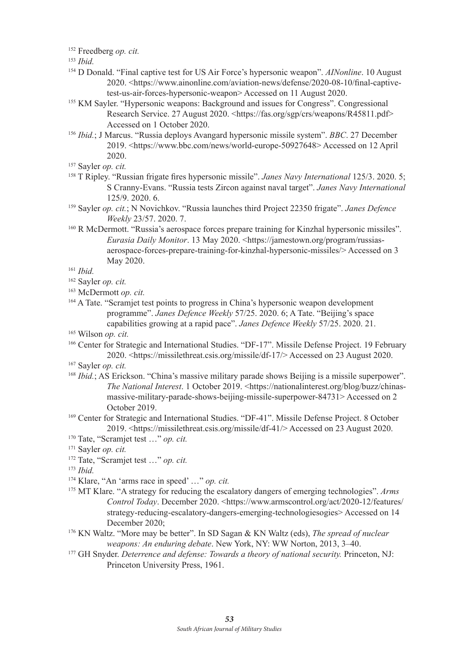<sup>152</sup> Freedberg *op. cit.*

- <sup>154</sup> D Donald. "Final captive test for US Air Force's hypersonic weapon". *AINonline*. 10 August 2020. <https://www.ainonline.com/aviation-news/defense/2020-08-10/final-captivetest-us-air-forces-hypersonic-weapon> Accessed on 11 August 2020.
- <sup>155</sup> KM Sayler. "Hypersonic weapons: Background and issues for Congress". Congressional Research Service. 27 August 2020. <https://fas.org/sgp/crs/weapons/R45811.pdf> Accessed on 1 October 2020.
- <sup>156</sup> *Ibid.*; J Marcus. "Russia deploys Avangard hypersonic missile system". *BBC*. 27 December 2019. <https://www.bbc.com/news/world-europe-50927648> Accessed on 12 April 2020.
- 157 Sayler *op. cit.*
- <sup>158</sup> T Ripley. "Russian frigate fires hypersonic missile". *Janes Navy International* 125/3. 2020. 5; S Cranny-Evans. "Russia tests Zircon against naval target". *Janes Navy International*  125/9. 2020. 6.
- 159 Sayler *op. cit.*; N Novichkov. "Russia launches third Project 22350 frigate". *Janes Defence Weekly* 23/57. 2020. 7.
- 160 R McDermott. "Russia's aerospace forces prepare training for Kinzhal hypersonic missiles". *Eurasia Daily Monitor*. 13 May 2020. <https://jamestown.org/program/russiasaerospace-forces-prepare-training-for-kinzhal-hypersonic-missiles/> Accessed on 3 May 2020.

<sup>161</sup> *Ibid.*

- <sup>162</sup> Sayler *op. cit.*
- <sup>163</sup> McDermott *op. cit.*
- <sup>164</sup> A Tate. "Scramiet test points to progress in China's hypersonic weapon development programme". *Janes Defence Weekly* 57/25. 2020. 6; A Tate. "Beijing's space capabilities growing at a rapid pace". *Janes Defence Weekly* 57/25. 2020. 21.

<sup>165</sup> Wilson *op. cit.*

- 166 Center for Strategic and International Studies. "DF-17". Missile Defense Project. 19 February 2020. <https://missilethreat.csis.org/missile/df-17/> Accessed on 23 August 2020.
- <sup>167</sup> Sayler *op. cit.*
- <sup>168</sup> *Ibid.*; AS Erickson. "China's massive military parade shows Beijing is a missile superpower". *The National Interest.* 1 October 2019. <https://nationalinterest.org/blog/buzz/chinasmassive-military-parade-shows-beijing-missile-superpower-84731> Accessed on 2 October 2019.
- 169 Center for Strategic and International Studies. "DF-41". Missile Defense Project. 8 October 2019. <https://missilethreat.csis.org/missile/df-41/> Accessed on 23 August 2020.
- <sup>170</sup> Tate, "Scramjet test …" *op. cit.*
- 171 Sayler *op. cit.*
- <sup>172</sup> Tate, "Scramjet test …" *op. cit.*

<sup>173</sup> *Ibid.*

- 174 Klare, "An 'arms race in speed' …" *op. cit.*
- <sup>175</sup> MT Klare. "A strategy for reducing the escalatory dangers of emerging technologies". *Arms Control Today*. December 2020. <https://www.armscontrol.org/act/2020-12/features/ strategy-reducing-escalatory-dangers-emerging-technologiesogies> Accessed on 14 December 2020:
- 176 KN Waltz. "More may be better". In SD Sagan & KN Waltz (eds), *The spread of nuclear weapons: An enduring debate*. New York, NY: WW Norton, 2013, 3–40.
- <sup>177</sup> GH Snyder. *Deterrence and defense: Towards a theory of national security*. Princeton, NJ: Princeton University Press, 1961.

<sup>153</sup> *Ibid.*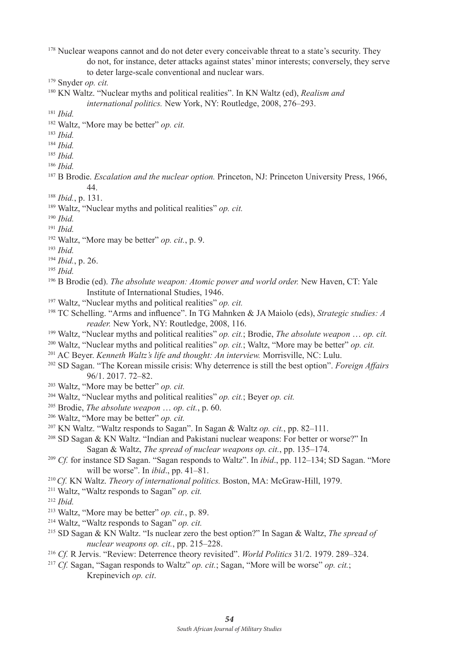<sup>178</sup> Nuclear weapons cannot and do not deter every conceivable threat to a state's security. They do not, for instance, deter attacks against states' minor interests; conversely, they serve to deter large-scale conventional and nuclear wars.

- 180 KN Waltz. "Nuclear myths and political realities". In KN Waltz (ed), *Realism and international politics.* New York, NY: Routledge, 2008, 276–293.
- <sup>181</sup> *Ibid.*
- <sup>182</sup> Waltz, "More may be better" *op. cit.*
- <sup>183</sup> *Ibid.*
- <sup>184</sup> *Ibid.*
- <sup>185</sup> *Ibid.*
- <sup>186</sup> *Ibid.*
- <sup>187</sup> B Brodie. *Escalation and the nuclear option.* Princeton, NJ: Princeton University Press, 1966, 44.
- <sup>188</sup> *Ibid.*, p. 131.
- 189 Waltz, "Nuclear myths and political realities" *op. cit.*
- <sup>190</sup> *Ibid.*
- <sup>191</sup> *Ibid.*
- <sup>192</sup> Waltz, "More may be better" *op. cit.*, p. 9.
- <sup>193</sup> *Ibid.*
- <sup>194</sup> *Ibid.*, p. 26.
- 195 *Ibid.*
- <sup>196</sup> B Brodie (ed). *The absolute weapon: Atomic power and world order*. New Haven, CT: Yale Institute of International Studies, 1946.
- 197 Waltz, "Nuclear myths and political realities" *op. cit.*
- <sup>198</sup> TC Schelling. "Arms and influence". In TG Mahnken & JA Maiolo (eds), *Strategic studies: A reader.* New York, NY: Routledge, 2008, 116.
- 199 Waltz, "Nuclear myths and political realities" *op. cit.*; Brodie, *The absolute weapon* … *op. cit.*
- <sup>200</sup> Waltz, "Nuclear myths and political realities" *op. cit.*; Waltz, "More may be better" *op. cit.*
- 201 AC Beyer. *Kenneth Waltz's life and thought: An interview.* Morrisville, NC: Lulu.
- 202 SD Sagan. "The Korean missile crisis: Why deterrence is still the best option". *Foreign Affairs*  96/1. 2017. 72–82.
- <sup>203</sup> Waltz, "More may be better" *op. cit.*
- <sup>204</sup> Waltz, "Nuclear myths and political realities" *op. cit.*; Beyer *op. cit.*
- <sup>205</sup> Brodie, *The absolute weapon* … *op. cit.*, p. 60.
- <sup>206</sup> Waltz, "More may be better" *op. cit.*
- 207 KN Waltz. "Waltz responds to Sagan". In Sagan & Waltz *op. cit.*, pp. 82–111.
- <sup>208</sup> SD Sagan & KN Waltz. "Indian and Pakistani nuclear weapons: For better or worse?" In Sagan & Waltz, *The spread of nuclear weapons op. cit.*, pp. 135–174.
- <sup>209</sup> *Cf.* for instance SD Sagan. "Sagan responds to Waltz". In *ibid*., pp. 112–134; SD Sagan. "More will be worse". In *ibid*., pp. 41–81.
- <sup>210</sup>*Cf.* KN Waltz. *Theory of international politics.* Boston, MA: McGraw-Hill, 1979.
- <sup>211</sup> Waltz, "Waltz responds to Sagan" *op. cit.*
- <sup>212</sup> *Ibid.*
- <sup>213</sup> Waltz, "More may be better" *op. cit.*, p. 89.
- <sup>214</sup> Waltz, "Waltz responds to Sagan" *op. cit.*
- 215 SD Sagan & KN Waltz. "Is nuclear zero the best option?" In Sagan & Waltz, *The spread of nuclear weapons op. cit.*, pp. 215–228.
- <sup>216</sup> *Cf.* R Jervis. "Review: Deterrence theory revisited". *World Politics* 31/2. 1979. 289–324.
- <sup>217</sup> *Cf.* Sagan, "Sagan responds to Waltz" *op. cit.*; Sagan, "More will be worse" *op. cit.*; Krepinevich *op. cit*.

<sup>179</sup> Snyder *op. cit.*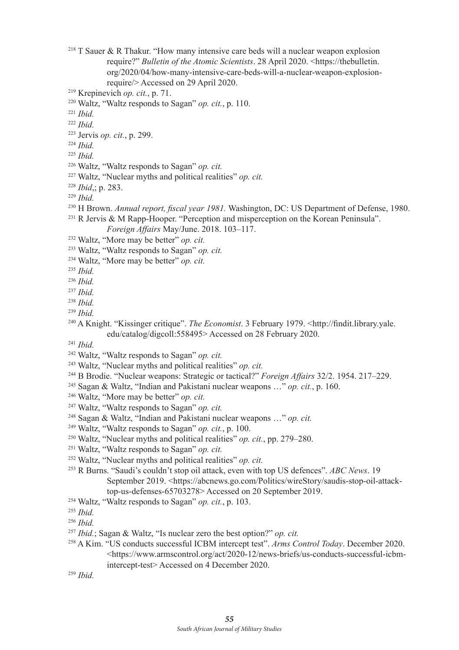- T Sauer & R Thakur. "How many intensive care beds will a nuclear weapon explosion require?" *Bulletin of the Atomic Scientists*. 28 April 2020. <https://thebulletin. org/2020/04/how-many-intensive-care-beds-will-a-nuclear-weapon-explosionrequire/> Accessed on 29 April 2020.
- Krepinevich *op. cit.*, p. 71.
- Waltz, "Waltz responds to Sagan" *op. cit.*, p. 110.
- *Ibid.*
- *Ibid.*
- 223 Jervis *op. cit.*, p. 299.
- *Ibid.*
- *Ibid.*
- Waltz, "Waltz responds to Sagan" *op. cit.*
- Waltz, "Nuclear myths and political realities" *op. cit.*
- *Ibid*,; p. 283.
- *Ibid.*
- 230 H Brown. *Annual report, fiscal year 1981.* Washington, DC: US Department of Defense, 1980.
- $^{231}$  R Jervis & M Rapp-Hooper. "Perception and misperception on the Korean Peninsula".
	- *Foreign Affairs* May/June. 2018. 103–117.
- Waltz, "More may be better" *op. cit.*
- Waltz, "Waltz responds to Sagan" *op. cit.*
- Waltz, "More may be better" *op. cit.*
- *Ibid.*
- *Ibid.*
- *Ibid.*
- *Ibid.*
- *Ibid.*
- 240 A Knight. "Kissinger critique". *The Economist*. 3 February 1979. <http://findit.library.yale. edu/catalog/digcoll:558495> Accessed on 28 February 2020.
- *Ibid.*
- Waltz, "Waltz responds to Sagan" *op. cit.*
- Waltz, "Nuclear myths and political realities" *op. cit.*
- 244 B Brodie. "Nuclear weapons: Strategic or tactical?" *Foreign Affairs* 32/2. 1954. 217–229. 245 Sagan & Waltz, "Indian and Pakistani nuclear weapons …" *op. cit.*, p. 160.
- 
- Waltz, "More may be better" *op. cit.*
- Waltz, "Waltz responds to Sagan" *op. cit.*
- 248 Sagan & Waltz, "Indian and Pakistani nuclear weapons …" *op. cit.*
- Waltz, "Waltz responds to Sagan" *op. cit.*, p. 100.
- Waltz, "Nuclear myths and political realities" *op. cit.*, pp. 279–280.
- Waltz, "Waltz responds to Sagan" *op. cit.*
- Waltz, "Nuclear myths and political realities" *op. cit.*
- 253 R Burns. "Saudi's couldn't stop oil attack, even with top US defences". *ABC News*. 19 September 2019. <https://abcnews.go.com/Politics/wireStory/saudis-stop-oil-attacktop-us-defenses-65703278> Accessed on 20 September 2019.
- Waltz, "Waltz responds to Sagan" *op. cit.*, p. 103.
- *Ibid.*
- *Ibid.*
- *Ibid.*; Sagan & Waltz, "Is nuclear zero the best option?" *op. cit.*
- 258 A Kim. "US conducts successful ICBM intercept test". *Arms Control Today*. December 2020. <https://www.armscontrol.org/act/2020-12/news-briefs/us-conducts-successful-icbmintercept-test> Accessed on 4 December 2020.
- *Ibid.*